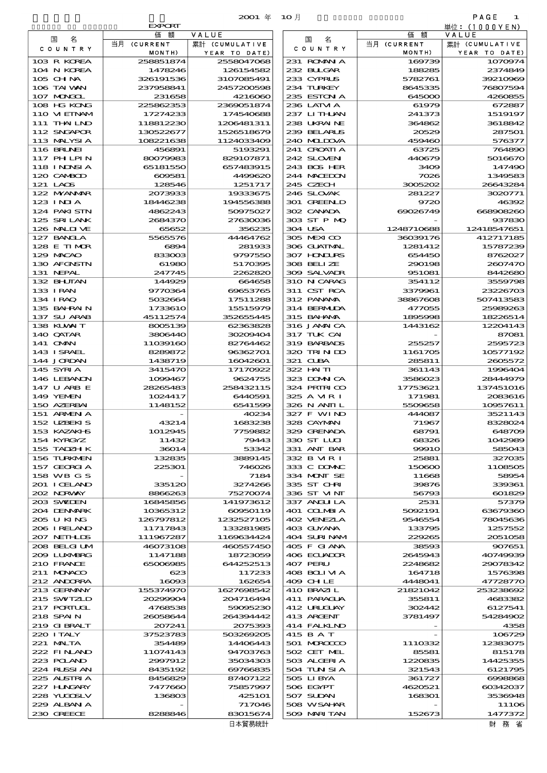|                             |                        | 2001 年                   | — 1O 月                     |                       | PAGE<br>1               |
|-----------------------------|------------------------|--------------------------|----------------------------|-----------------------|-------------------------|
|                             | <b>EXPORT</b>          |                          |                            |                       | 単位:(1000YEN)            |
| 名<br>国                      | 額<br>価<br>当月 (CURRENT  | VALUE<br>累計 (CUMULATIVE  | 名<br>国                     | 額<br>価<br>当月 (CURRENT | VALUE<br>累計 (CUMULATIVE |
| C O U N T R Y               | MONTH)                 | YEAR TO DATE)            | C O U N T R Y              | MONTH)                | YEAR TO DATE)           |
| 103 R KOREA                 | 258851874              | 2558047068               | 231 ROMANIA                | 169739                | 1070974                 |
| 104 N KOREA                 | 1478246                | 126154582                | 232 BLLGAR                 | 188285                | 2374849                 |
| 105 CHNA<br>106 TAI WAN     | 326191536<br>237958841 | 3107085491<br>2457200598 | 233 CYPRUS<br>234 TURKEY   | 5782761<br>8645335    | 39210969<br>76807594    |
| 107 MNGCL                   | 231658                 | 4216060                  | 235 ESTON A                | 645000                | 4260855                 |
| 108 HG KONG                 | 225862353              | 2369051874               | 236 LATM A                 | 61979                 | 672887                  |
| 110 VIEINAM                 | 17274233               | 174540688                | 237 LITHAN                 | 241373                | 1519197                 |
| 111 THAILND<br>112 SNGAPOR  | 118812230<br>130522677 | 1206481311<br>1526518679 | 238 UKRAINE<br>239 BELARUS | 364862                | 3618842<br>287501       |
| 113 MALYSIA                 | 108221638              | 1124033409               | 240 MIDOVA                 | 20529<br>459460       | 576377                  |
| <b>116 BRUNEI</b>           | 456891                 | 5193291                  | 241 CROATIA                | 63725                 | 764890                  |
| 117 PHLPIN                  | 80079983               | 829107871                | 242 SLOVENI                | 440679                | 5016670                 |
| 118 I NDNSI A               | 65181550               | 657483915                | 243 BOS HER                | 3409                  | 147490                  |
| 120 CAMBOD<br>121 LAOS      | 609581<br>128546       | 4499620<br>1251717       | 244 MACEDON<br>245 CZECH   | 7026<br>3005202       | 1349583<br>26643284     |
| 122 MYANMAR                 | 2073933                | 19333675                 | 246 SLOVAK                 | 281227                | 3020771                 |
| $123$ INIA                  | 18446238               | 194556388                | 301 GREENLD                | 9720                  | 46392                   |
| 124 PAKISTN                 | 4862243                | 50975027                 | 302 CANADA                 | 69026749              | 668908260               |
| 125 SRILANK<br>126 MALINE   | 2684370<br>65652       | 27630036<br>356235       | 303 ST P MQ<br>304 USA     | 1248710688            | 937830<br>12418547651   |
| 127 BANCLA                  | 5565576                | 44464762                 | 305 MEXICO                 | 36039176              | 412717185               |
| 128 E TIMOR                 | 6894                   | 281933                   | 306 GUATMAL                | 1281412               | 15787239                |
| 129 MACAO                   | 833003                 | 9797550                  | 307 HNURS                  | 654450                | 8762027                 |
| 130 AFGNSTN<br>131 NEPAL    | 61980<br>247745        | 5170395<br>2262820       | 308 BELIZE<br>309 SALVADR  | 290198<br>951081      | 2607470<br>8442680      |
| 132 BHUTAN                  | 144929                 | 664658                   | 310 N CARAG                | 354112                | 3559798                 |
| 133 IRAN                    | 9770364                | 69653765                 | 311 CST RCA                | 3379961               | 23226703                |
| 134 IRAQ                    | 5032664                | 17511288                 | 312 PANAMA                 | 38867608              | 507413583               |
| 135 BAHRAIN                 | 1733610                | 15515979                 | 314 BERMIDA<br>315 BAHANA  | 477055                | 25989263                |
| 137 SU ARAB<br>138 KUWAIT   | 45112574<br>8005139    | 352655445<br>62363828    | 316 JAMAICA                | 1895998<br>1443162    | 18226514<br>12204143    |
| 140 QATAR                   | 3806440                | 30209404                 | 317 TUK CAI                |                       | 87081                   |
| 141 OMN                     | 11039160               | 82764462                 | 319 BARBADS                | 255257                | 2595723                 |
| 143 ISRAEL                  | 8289872                | 96362701                 | 320 TRINDO                 | 1161705               | 10577192                |
| 144 JORDAN<br>145 SYRIA     | 1438719<br>3415470     | 16042601<br>17170922     | 321 CLBA<br>322 HAITI      | 285811<br>361143      | 2605572<br>1996404      |
| 146 LEBANON                 | 1099467                | 9624755                  | 323 DOMNICA                | 3586023               | 28444979                |
| 147 U ARB E                 | 28265483               | 258432115                | 324 PRIRICO                | 17753621              | 137451016               |
| 149 YEMEN                   | 1024417                | 6440591                  | 325 A MRI                  | 171981                | 2083616                 |
| 150 AZERBAI<br>151 ARMENIA  | 1148152                | 6541599<br>40234         | 326 N ANII L<br>327 F WIND | 5509658<br>444087     | 10957611<br>3521143     |
| 152 UZBEKIS                 | 43214                  | 1683238                  | 328 CAYMAN                 | 71967                 | 8328024                 |
| 153 KAZAKI B                | 1012945                | 7759882                  | 329 GRENADA                | 68791                 | 648709                  |
| 154 KYRGYZ                  | 11432                  | 79443                    | 330 ST LUI                 | 68326                 | 1042989                 |
| 155 TADZH K<br>156 TURKNEN  | 36014<br>132835        | 53342<br>3889145         | 331 ANT BAR<br>332 B MR I  | <b>99910</b><br>25881 | 585043<br>327035        |
| 157 GEORGIA                 | 225301                 | 746026                   | 333 C DOMAC                | 150600                | 1108505                 |
| 158 WB G S                  |                        | 7184                     | 334 MONT SE                | 11668                 | 58954                   |
| 201 I CELAND                | 335120                 | 3274266                  | 335 ST CHRI                | 39876                 | 339361                  |
| 202 NORWAY<br>203 SWIDEN    | 8866263<br>16845856    | 75270074<br>141973612    | 336 ST MNT<br>337 ANGLILA  | 56793<br>2531         | 601829<br>57379         |
| 204 DENMARK                 | 10365312               | 60950119                 | 401 COLMBIA                | 5092191               | 63679360                |
| 205 U KING                  | 126797812              | 1232527105               | 402 VENEZIA                | 9546554               | 78045636                |
| 206 I RELAND                | 11717843               | 133281985                | 403 GUYANA                 | 133795                | 1257552                 |
| 207 NETHLIS<br>208 BELGI UM | 111967287<br>46073108  | 1169634424<br>460557450  | 404 SURINAM<br>405 F GIANA | 229265<br>38593       | 2051058<br>907651       |
| 2009 LUNABRG                | 1147188                | 18723059                 | 406 ECUADOR                | 2645943               | 40749939                |
| 210 FRANCE                  | 65006985               | 644252513                | 407 PERU                   | 2248682               | 29078342                |
| 211 MUNACO                  | 623                    | 117233                   | 408 BOLI VI A              | 164718                | 1576398                 |
| 212 ANDORRA<br>213 GERMANY  | 16093<br>155374970     | 162654<br>1627698542     | 409 CHLE<br>410 BRAZIL     | 4448041<br>21821042   | 47728770<br>253238692   |
| 215 SWIZLD                  | 20299904               | 204716494                | 411 PARAGUA                | 355811                | 4683382                 |
| 217 PORTUCL                 | 4768538                | 59095230                 | 412 URUCLAY                | 302442                | 6127541                 |
| 218 SPAIN                   | 26058644               | 264394442                | 413 ARCENT                 | 3781497               | 54284902                |
| 219 GIBRALT<br>220 I TALY   | 207241<br>37523783     | 2075393<br>503269205     | 414 FALKLND<br>415 B A T   |                       | 4358<br>106729          |
| 221 MALTA                   | 354489                 | 14406443                 | 501 MROCCO                 | 1110332               | 12383075                |
| 222 FINAND                  | 11074143               | 94703763                 | 502 CET MEL                | 85581                 | 815178                  |
| 223 POLAND                  | 2997912                | 35034303                 | 503 ALGERIA                | 1220835               | 14425355                |
| 224 RUSSI AN                | 8435192                | 69766835                 | 504 TUN SI A               | 321543                | 6121795                 |
| 225 ALSTRIA<br>227 HNGARY   | 8456829<br>7477660     | 87407122<br>75857997     | 505 LIBYA<br>506 EGYPT     | 361727<br>4620521     | 6998868<br>60342037     |
| 228 YUGOSLV                 | 136803                 | <b>425101</b>            | 507 SUDAN                  | 168301                | 3536948                 |
| 229 ALBAN A                 |                        | 717046                   | 508 WSAHAR                 |                       | 11106                   |
| 230 GREECE                  | 8288846                | 83015674<br>□十級目休息       | 509 MARI TAN               | 152673                | 1477372<br>ローレー マケー ノル  |

|                              | <b>EXPORT</b>          |                                 |
|------------------------------|------------------------|---------------------------------|
| 国<br>名                       | 価額<br>当月 (CURRENT      | VALUE                           |
| COUNTRY                      | MONTH)                 | 累計 (CUMULATIVE<br>YEAR TO DATE) |
| 103 R KOREA                  | 258851874              | 2558047068                      |
| 104 N KOREA                  | 1478246                | 126154582                       |
| 105 CH NA<br>106 TAI WAN     | 326191536<br>237958841 | 3107085491<br>2457200598        |
| 107 MAGCL                    | 231658                 | 4216060                         |
| 108 HG KONG                  | 225862353              | 2369051874                      |
| 110 VIEINAM<br>111 THAILND   | 17274233<br>118812230  | 174540688<br>1206481311         |
| 112 SNGAPOR                  | 130522677              | 1526518679                      |
| 113 MALYSIA                  | 108221638              | 1124033409                      |
| <b>116 BRUNEI</b>            | 456891                 | 5193291                         |
| 117 PHLPIN<br>118 I NDNSI A  | 80079983<br>65181550   | 829107871<br>657483915          |
| 120 CAMBOD                   | 609581                 | 4499620                         |
| 121 LAOS                     | 128546                 | 1251717                         |
| 122 MYANMAR<br>123 INIA      | 2073933<br>18446238    | 19333675<br>194556388           |
| 124 PAKISTN                  | 4862243                | 50975027                        |
| 125 SRILANK                  | 2684370                | 27630036                        |
| 126 MALIJUE                  | 65652                  | 356235                          |
| 127 BANCLA<br>128 E TIMOR    | 5565576<br>6894        | 44464762<br>281933              |
| 129 MACAO                    | 833003                 | 9797550                         |
| 130 AFGNSTN                  | 61980                  | 5170395                         |
| 131 NEPAL<br>132 BHUTAN      | 247745<br>144929       | 2262820<br>664658               |
| 133 I RAN                    | 9770364                | 69653765                        |
| 134 IRAQ                     | 5032664                | 17511288                        |
| 135 BAHRAIN                  | 1733610                | 15515979                        |
| 137 SU ARAB<br>138 KUWAIT    | 45112574<br>8005139    | 352655445<br>62363828           |
| 140 QATAR                    | 3806440                | 30209404                        |
| 141 OMN                      | 11039160               | 82764462                        |
| 143 ISRAEL<br>144 JORDAN     | 8289872<br>1438719     | 96362701<br>16042601            |
| 145 SYRIA                    | 3415470                | 17170922                        |
| 146 LEBANON                  | 1099467                | 9624755                         |
| 147 U ARB E<br>149 YEMEN     | 28265483<br>1024417    | 258432115<br>6440591            |
| 150 AZERBAI                  | 1148152                | 6541599                         |
| 151 ARMENIA                  |                        | 40234                           |
| 152 UZBEKIS                  | 43214                  | 1683238                         |
| 153 KAZAKI B<br>154 KYRGYZ   | 1012945<br>11432       | 7759882<br>79443                |
| 155 TADZH K                  | 36014                  | 53342                           |
| 156 TURKMEN                  | 132835                 | 3889145                         |
| 157 GEORGIA<br>158 WB G S    | 225301                 | 746026<br>7184                  |
| 201 ICELAND                  | 335120                 | 3274266                         |
| 202 NORWAY                   | 8866263                | 75270074                        |
| 203 SWIEN<br>204 DENMARK     | 16845856<br>10365312   | 141973612<br>60950119           |
| 205 U KING                   | 126797812              | 1232527105                      |
| 206 I RELAND                 | 11717843               | 133281985                       |
| 207 NETHLIS                  | 111967287              | 1169634424                      |
| 208 BELGI UM<br>2009 LUNABRG | 46073108<br>1147188    | 460557450<br>18723059           |
| 210 FRANCE                   | 65006985               | 644252513                       |
| 211 MUNACO                   | 623                    | 117233                          |
| 212 ANDORRA<br>213 GERMANY   | 16093<br>155374970     | 162654<br>1627698542            |
| 215 SWIZLD                   | 20299904               | 204716494                       |
| <b>217 PORTUAL</b>           | 4768538                | 59095230                        |
| 218 SPAIN<br>219 GIBRALT     | 26058644               | 264394442                       |
| 220 I TALY                   | 207241<br>37523783     | 2075393<br>503269205            |
| 221 MALTA                    | 354489                 | 14406443                        |
| 222 FINAND                   | 11074143               | 94703763                        |
| 223 POLAND<br>224 RUSSI AN   | 2997912<br>8435192     | 35034303<br>69766835            |
| 225 ALSTRIA                  | 8456829                | 87407122                        |
| 227 H.NGARY                  | 7477660                | 75857997                        |
| 228 YUGOSLV<br>229 ALBAN A   | 136803                 | <b>425101</b><br>717046         |
| 230 GREECE                   | 8288846                | 83015674                        |
|                              |                        | 日木留易統計                          |

財 務 省